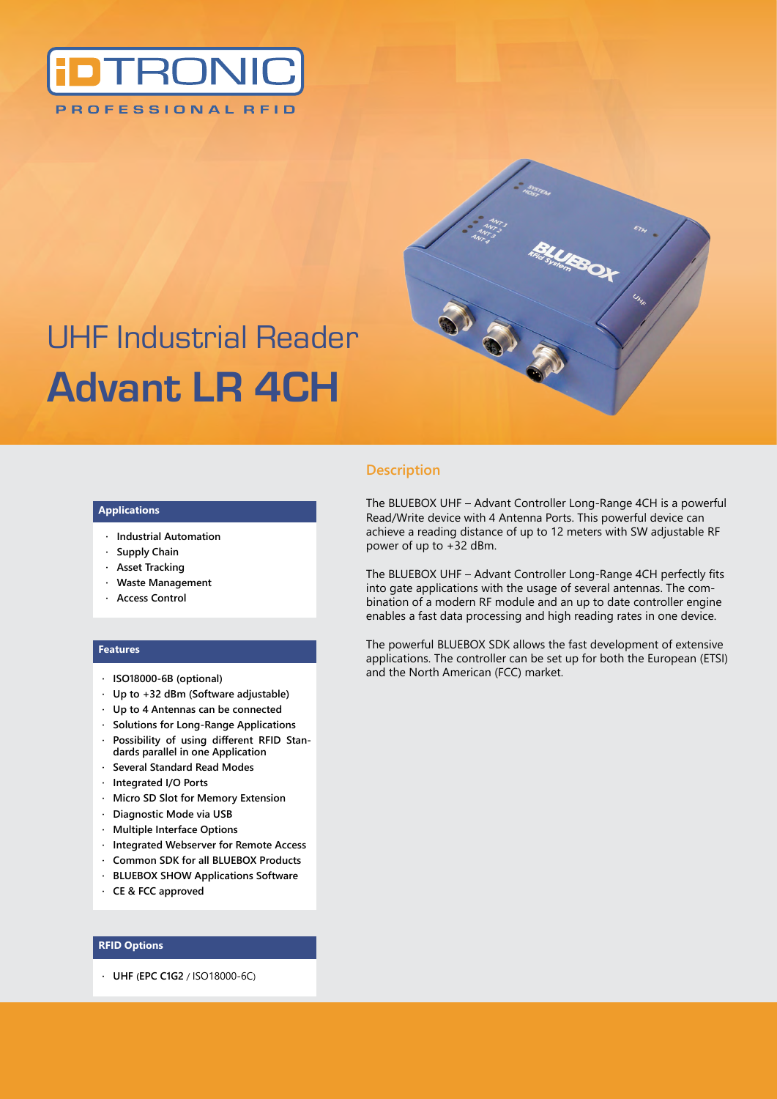



# UHF Industrial Reader **Advant LR 4CH**

#### **Applications**

- **· Industrial Automation**
- **· Supply Chain**
- **· Asset Tracking**
- **· Waste Management**
- **· Access Control**

#### **Features**

- **· ISO18000-6B (optional)**
- **· Up to +32 dBm (Software adjustable)**
- **· Up to 4 Antennas can be connected**
- **· Solutions for Long-Range Applications**
- **· Possibility of using different RFID Standards parallel in one Application**
- **· Several Standard Read Modes**
- **· Integrated I/O Ports**
- **· Micro SD Slot for Memory Extension**
- **· Diagnostic Mode via USB**
- **· Multiple Interface Options**
- **· Integrated Webserver for Remote Access**
- **· Common SDK for all BLUEBOX Products**
- **· BLUEBOX SHOW Applications Software**
- **· CE & FCC approved**

#### **RFID Options**

**· UHF (EPC C1G2** / ISO18000-6C)

#### **Description**

The BLUEBOX UHF – Advant Controller Long-Range 4CH is a powerful Read/Write device with 4 Antenna Ports. This powerful device can achieve a reading distance of up to 12 meters with SW adjustable RF power of up to +32 dBm.

The BLUEBOX UHF – Advant Controller Long-Range 4CH perfectly fits into gate applications with the usage of several antennas. The combination of a modern RF module and an up to date controller engine enables a fast data processing and high reading rates in one device.

The powerful BLUEBOX SDK allows the fast development of extensive applications. The controller can be set up for both the European (ETSI) and the North American (FCC) market.